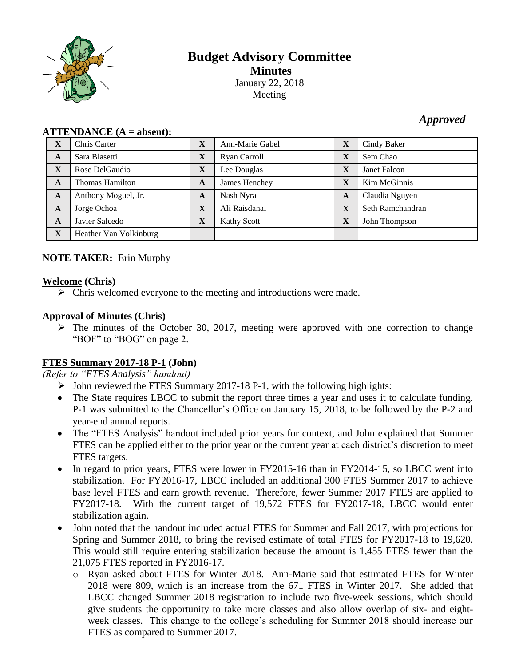

# **Budget Advisory Committee Minutes** January 22, 2018 Meeting

## *Approved*

| **********  |                        |              |                    |             |                  |
|-------------|------------------------|--------------|--------------------|-------------|------------------|
| X           | Chris Carter           | $\mathbf X$  | Ann-Marie Gabel    | X           | Cindy Baker      |
| A           | Sara Blasetti          | $\mathbf X$  | Ryan Carroll       | X           | Sem Chao         |
| $\mathbf X$ | Rose DelGaudio         | $\mathbf{X}$ | Lee Douglas        | X           | Janet Falcon     |
| A           | <b>Thomas Hamilton</b> | A            | James Henchey      | X           | Kim McGinnis     |
| A           | Anthony Moguel, Jr.    | A            | Nash Nyra          | A           | Claudia Nguyen   |
| A           | Jorge Ochoa            | $\mathbf{X}$ | Ali Raisdanai      | $\mathbf X$ | Seth Ramchandran |
| A           | Javier Salcedo         | $\mathbf{X}$ | <b>Kathy Scott</b> | $\mathbf X$ | John Thompson    |
| $\mathbf X$ | Heather Van Volkinburg |              |                    |             |                  |

### **ATTENDANCE (A = absent):**

### **NOTE TAKER:** Erin Murphy

### **Welcome (Chris)**

 $\triangleright$  Chris welcomed everyone to the meeting and introductions were made.

### **Approval of Minutes (Chris)**

 $\triangleright$  The minutes of the October 30, 2017, meeting were approved with one correction to change "BOF" to "BOG" on page 2.

### **FTES Summary 2017-18 P-1 (John)**

*(Refer to "FTES Analysis" handout)*

- $\triangleright$  John reviewed the FTES Summary 2017-18 P-1, with the following highlights:
- The State requires LBCC to submit the report three times a year and uses it to calculate funding. P-1 was submitted to the Chancellor's Office on January 15, 2018, to be followed by the P-2 and year-end annual reports.
- The "FTES Analysis" handout included prior years for context, and John explained that Summer FTES can be applied either to the prior year or the current year at each district's discretion to meet FTES targets.
- In regard to prior years, FTES were lower in FY2015-16 than in FY2014-15, so LBCC went into stabilization. For FY2016-17, LBCC included an additional 300 FTES Summer 2017 to achieve base level FTES and earn growth revenue. Therefore, fewer Summer 2017 FTES are applied to FY2017-18. With the current target of 19,572 FTES for FY2017-18, LBCC would enter stabilization again.
- John noted that the handout included actual FTES for Summer and Fall 2017, with projections for Spring and Summer 2018, to bring the revised estimate of total FTES for FY2017-18 to 19,620. This would still require entering stabilization because the amount is 1,455 FTES fewer than the 21,075 FTES reported in FY2016-17.
	- o Ryan asked about FTES for Winter 2018. Ann-Marie said that estimated FTES for Winter 2018 were 809, which is an increase from the 671 FTES in Winter 2017. She added that LBCC changed Summer 2018 registration to include two five-week sessions, which should give students the opportunity to take more classes and also allow overlap of six- and eightweek classes. This change to the college's scheduling for Summer 2018 should increase our FTES as compared to Summer 2017.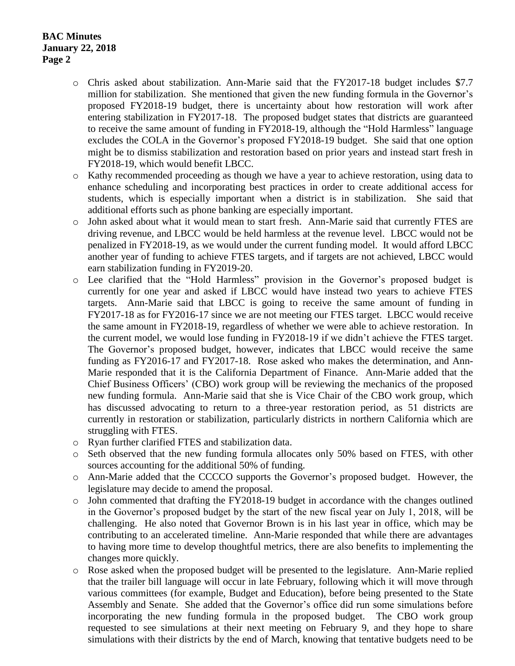### **BAC Minutes January 22, 2018 Page 2**

- o Chris asked about stabilization. Ann-Marie said that the FY2017-18 budget includes \$7.7 million for stabilization. She mentioned that given the new funding formula in the Governor's proposed FY2018-19 budget, there is uncertainty about how restoration will work after entering stabilization in FY2017-18. The proposed budget states that districts are guaranteed to receive the same amount of funding in FY2018-19, although the "Hold Harmless" language excludes the COLA in the Governor's proposed FY2018-19 budget. She said that one option might be to dismiss stabilization and restoration based on prior years and instead start fresh in FY2018-19, which would benefit LBCC.
- o Kathy recommended proceeding as though we have a year to achieve restoration, using data to enhance scheduling and incorporating best practices in order to create additional access for students, which is especially important when a district is in stabilization. She said that additional efforts such as phone banking are especially important.
- o John asked about what it would mean to start fresh. Ann-Marie said that currently FTES are driving revenue, and LBCC would be held harmless at the revenue level. LBCC would not be penalized in FY2018-19, as we would under the current funding model. It would afford LBCC another year of funding to achieve FTES targets, and if targets are not achieved, LBCC would earn stabilization funding in FY2019-20.
- o Lee clarified that the "Hold Harmless" provision in the Governor's proposed budget is currently for one year and asked if LBCC would have instead two years to achieve FTES targets. Ann-Marie said that LBCC is going to receive the same amount of funding in FY2017-18 as for FY2016-17 since we are not meeting our FTES target. LBCC would receive the same amount in FY2018-19, regardless of whether we were able to achieve restoration. In the current model, we would lose funding in FY2018-19 if we didn't achieve the FTES target. The Governor's proposed budget, however, indicates that LBCC would receive the same funding as FY2016-17 and FY2017-18. Rose asked who makes the determination, and Ann-Marie responded that it is the California Department of Finance. Ann-Marie added that the Chief Business Officers' (CBO) work group will be reviewing the mechanics of the proposed new funding formula. Ann-Marie said that she is Vice Chair of the CBO work group, which has discussed advocating to return to a three-year restoration period, as 51 districts are currently in restoration or stabilization, particularly districts in northern California which are struggling with FTES.
- o Ryan further clarified FTES and stabilization data.
- o Seth observed that the new funding formula allocates only 50% based on FTES, with other sources accounting for the additional 50% of funding.
- o Ann-Marie added that the CCCCO supports the Governor's proposed budget. However, the legislature may decide to amend the proposal.
- o John commented that drafting the FY2018-19 budget in accordance with the changes outlined in the Governor's proposed budget by the start of the new fiscal year on July 1, 2018, will be challenging. He also noted that Governor Brown is in his last year in office, which may be contributing to an accelerated timeline. Ann-Marie responded that while there are advantages to having more time to develop thoughtful metrics, there are also benefits to implementing the changes more quickly.
- o Rose asked when the proposed budget will be presented to the legislature. Ann-Marie replied that the trailer bill language will occur in late February, following which it will move through various committees (for example, Budget and Education), before being presented to the State Assembly and Senate. She added that the Governor's office did run some simulations before incorporating the new funding formula in the proposed budget. The CBO work group requested to see simulations at their next meeting on February 9, and they hope to share simulations with their districts by the end of March, knowing that tentative budgets need to be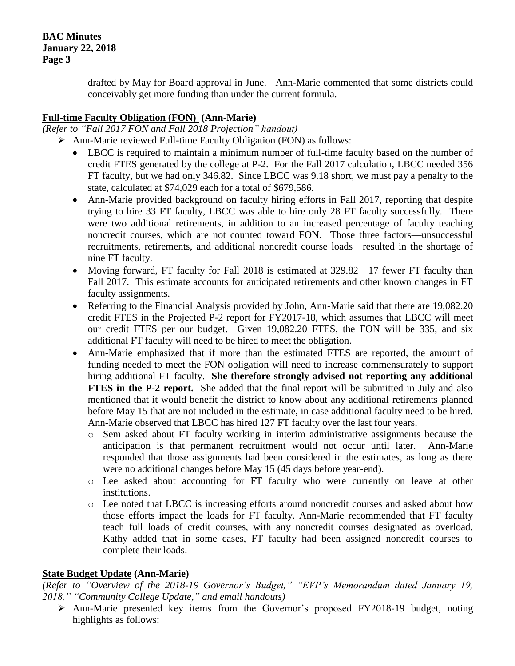**BAC Minutes January 22, 2018 Page 3**

> drafted by May for Board approval in June. Ann-Marie commented that some districts could conceivably get more funding than under the current formula.

### **Full-time Faculty Obligation (FON) (Ann-Marie)**

*(Refer to "Fall 2017 FON and Fall 2018 Projection" handout)*

- Ann-Marie reviewed Full-time Faculty Obligation (FON) as follows:
	- LBCC is required to maintain a minimum number of full-time faculty based on the number of credit FTES generated by the college at P-2. For the Fall 2017 calculation, LBCC needed 356 FT faculty, but we had only 346.82. Since LBCC was 9.18 short, we must pay a penalty to the state, calculated at \$74,029 each for a total of \$679,586.
	- Ann-Marie provided background on faculty hiring efforts in Fall 2017, reporting that despite trying to hire 33 FT faculty, LBCC was able to hire only 28 FT faculty successfully. There were two additional retirements, in addition to an increased percentage of faculty teaching noncredit courses, which are not counted toward FON. Those three factors—unsuccessful recruitments, retirements, and additional noncredit course loads—resulted in the shortage of nine FT faculty.
	- Moving forward, FT faculty for Fall 2018 is estimated at 329.82—17 fewer FT faculty than Fall 2017. This estimate accounts for anticipated retirements and other known changes in FT faculty assignments.
	- Referring to the Financial Analysis provided by John, Ann-Marie said that there are 19,082.20 credit FTES in the Projected P-2 report for FY2017-18, which assumes that LBCC will meet our credit FTES per our budget. Given 19,082.20 FTES, the FON will be 335, and six additional FT faculty will need to be hired to meet the obligation.
	- Ann-Marie emphasized that if more than the estimated FTES are reported, the amount of funding needed to meet the FON obligation will need to increase commensurately to support hiring additional FT faculty. **She therefore strongly advised not reporting any additional FTES in the P-2 report.** She added that the final report will be submitted in July and also mentioned that it would benefit the district to know about any additional retirements planned before May 15 that are not included in the estimate, in case additional faculty need to be hired. Ann-Marie observed that LBCC has hired 127 FT faculty over the last four years.
		- o Sem asked about FT faculty working in interim administrative assignments because the anticipation is that permanent recruitment would not occur until later. Ann-Marie responded that those assignments had been considered in the estimates, as long as there were no additional changes before May 15 (45 days before year-end).
		- o Lee asked about accounting for FT faculty who were currently on leave at other institutions.
		- o Lee noted that LBCC is increasing efforts around noncredit courses and asked about how those efforts impact the loads for FT faculty. Ann-Marie recommended that FT faculty teach full loads of credit courses, with any noncredit courses designated as overload. Kathy added that in some cases, FT faculty had been assigned noncredit courses to complete their loads.

#### **State Budget Update (Ann-Marie)**

*(Refer to "Overview of the 2018-19 Governor's Budget," "EVP's Memorandum dated January 19, 2018," "Community College Update," and email handouts)*

 Ann-Marie presented key items from the Governor's proposed FY2018-19 budget, noting highlights as follows: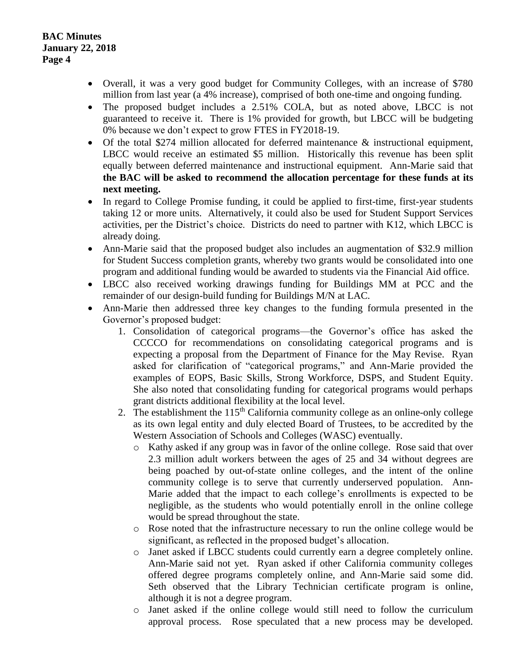- Overall, it was a very good budget for Community Colleges, with an increase of \$780 million from last year (a 4% increase), comprised of both one-time and ongoing funding.
- The proposed budget includes a 2.51% COLA, but as noted above, LBCC is not guaranteed to receive it. There is 1% provided for growth, but LBCC will be budgeting 0% because we don't expect to grow FTES in FY2018-19.
- Of the total \$274 million allocated for deferred maintenance & instructional equipment, LBCC would receive an estimated \$5 million. Historically this revenue has been split equally between deferred maintenance and instructional equipment. Ann-Marie said that **the BAC will be asked to recommend the allocation percentage for these funds at its next meeting.**
- In regard to College Promise funding, it could be applied to first-time, first-year students taking 12 or more units. Alternatively, it could also be used for Student Support Services activities, per the District's choice. Districts do need to partner with K12, which LBCC is already doing.
- Ann-Marie said that the proposed budget also includes an augmentation of \$32.9 million for Student Success completion grants, whereby two grants would be consolidated into one program and additional funding would be awarded to students via the Financial Aid office.
- LBCC also received working drawings funding for Buildings MM at PCC and the remainder of our design-build funding for Buildings M/N at LAC.
- Ann-Marie then addressed three key changes to the funding formula presented in the Governor's proposed budget:
	- 1. Consolidation of categorical programs—the Governor's office has asked the CCCCO for recommendations on consolidating categorical programs and is expecting a proposal from the Department of Finance for the May Revise. Ryan asked for clarification of "categorical programs," and Ann-Marie provided the examples of EOPS, Basic Skills, Strong Workforce, DSPS, and Student Equity. She also noted that consolidating funding for categorical programs would perhaps grant districts additional flexibility at the local level.
	- 2. The establishment the 115<sup>th</sup> California community college as an online-only college as its own legal entity and duly elected Board of Trustees, to be accredited by the Western Association of Schools and Colleges (WASC) eventually.
		- o Kathy asked if any group was in favor of the online college. Rose said that over 2.3 million adult workers between the ages of 25 and 34 without degrees are being poached by out-of-state online colleges, and the intent of the online community college is to serve that currently underserved population. Ann-Marie added that the impact to each college's enrollments is expected to be negligible, as the students who would potentially enroll in the online college would be spread throughout the state.
		- o Rose noted that the infrastructure necessary to run the online college would be significant, as reflected in the proposed budget's allocation.
		- o Janet asked if LBCC students could currently earn a degree completely online. Ann-Marie said not yet. Ryan asked if other California community colleges offered degree programs completely online, and Ann-Marie said some did. Seth observed that the Library Technician certificate program is online, although it is not a degree program.
		- o Janet asked if the online college would still need to follow the curriculum approval process. Rose speculated that a new process may be developed.